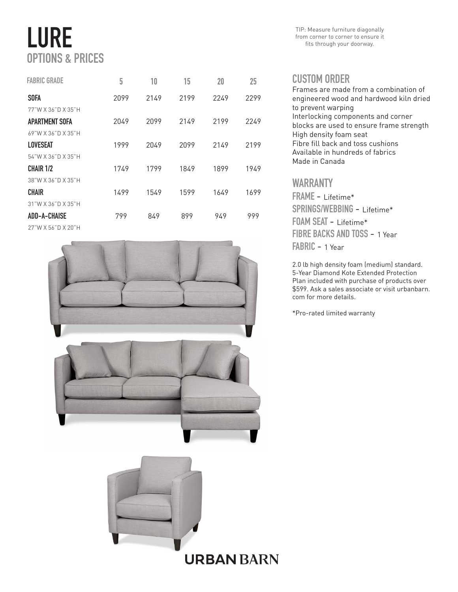# LURE OPTIONS & PRICES

| <b>FABRIC GRADE</b> | 5    | 10   | 15   | 20   | 25   |
|---------------------|------|------|------|------|------|
| <b>SOFA</b>         | 2099 | 2149 | 2199 | 2249 | 2299 |
| 77"W X 36"D X 35"H  |      |      |      |      |      |
| APARTMENT SOFA      | 2049 | 2099 | 2149 | 2199 | 2249 |
| 69"W X 36"D X 35"H  |      |      |      |      |      |
| <b>LOVESEAT</b>     | 1999 | 2049 | 2099 | 2149 | 2199 |
| 54"W X 36"D X 35"H  |      |      |      |      |      |
| <b>CHAIR 1/2</b>    | 1749 | 1799 | 1849 | 1899 | 1949 |
| 38"W X 36"D X 35"H  |      |      |      |      |      |
| <b>CHAIR</b>        | 1499 | 1549 | 1599 | 1649 | 1699 |
| 31"W X 36"D X 35"H  |      |      |      |      |      |
| <b>ADD-A-CHAISE</b> | 799  | 849  | 899  | 949  | 999  |
| 27"W X 56"D X 20"H  |      |      |      |      |      |





TIP: Measure furniture diagonally from corner to corner to ensure it fits through your doorway.

#### CUSTOM ORDER

Frames are made from a combination of engineered wood and hardwood kiln dried to prevent warping Interlocking components and corner blocks are used to ensure frame strength High density foam seat Fibre fill back and toss cushions Available in hundreds of fabrics Made in Canada

#### WARRANTY

FRAME - Lifetime\* SPRINGS/WEBBING - Lifetime\* FOAM SEAT - Lifetime\* FIBRE BACKS AND TOSS - 1 Year FABRIC - 1 Year

2.0 lb high density foam (medium) standard. 5-Year Diamond Kote Extended Protection Plan included with purchase of products over \$599. Ask a sales associate or visit urbanbarn. com for more details.

\*Pro-rated limited warranty